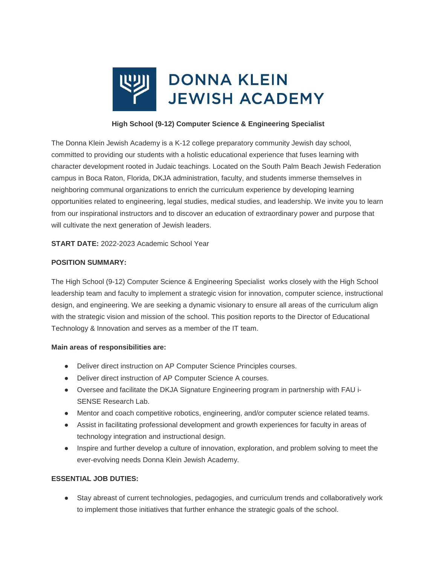

# **High School (9-12) Computer Science & Engineering Specialist**

The Donna Klein Jewish Academy is a K-12 college preparatory community Jewish day school, committed to providing our students with a holistic educational experience that fuses learning with character development rooted in Judaic teachings. Located on the South Palm Beach Jewish Federation campus in Boca Raton, Florida, DKJA administration, faculty, and students immerse themselves in neighboring communal organizations to enrich the curriculum experience by developing learning opportunities related to engineering, legal studies, medical studies, and leadership. We invite you to learn from our inspirational instructors and to discover an education of extraordinary power and purpose that will cultivate the next generation of Jewish leaders.

**START DATE:** 2022-2023 Academic School Year

## **POSITION SUMMARY:**

The High School (9-12) Computer Science & Engineering Specialist works closely with the High School leadership team and faculty to implement a strategic vision for innovation, computer science, instructional design, and engineering. We are seeking a dynamic visionary to ensure all areas of the curriculum align with the strategic vision and mission of the school. This position reports to the Director of Educational Technology & Innovation and serves as a member of the IT team.

## **Main areas of responsibilities are:**

- Deliver direct instruction on AP Computer Science Principles courses.
- Deliver direct instruction of AP Computer Science A courses.
- Oversee and facilitate the DKJA Signature Engineering program in partnership with FAU i-SENSE Research Lab.
- Mentor and coach competitive robotics, engineering, and/or computer science related teams.
- Assist in facilitating professional development and growth experiences for faculty in areas of technology integration and instructional design.
- Inspire and further develop a culture of innovation, exploration, and problem solving to meet the ever-evolving needs Donna Klein Jewish Academy.

## **ESSENTIAL JOB DUTIES:**

● Stay abreast of current technologies, pedagogies, and curriculum trends and collaboratively work to implement those initiatives that further enhance the strategic goals of the school.